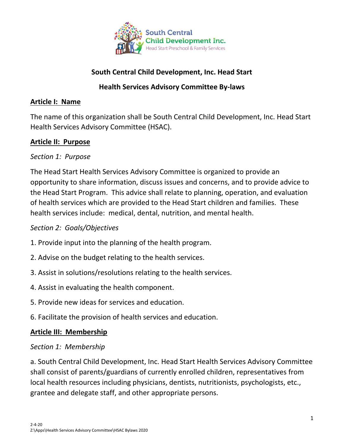

# **South Central Child Development, Inc. Head Start**

## **Health Services Advisory Committee By-laws**

#### **Article I: Name**

The name of this organization shall be South Central Child Development, Inc. Head Start Health Services Advisory Committee (HSAC).

#### **Article II: Purpose**

#### *Section 1: Purpose*

The Head Start Health Services Advisory Committee is organized to provide an opportunity to share information, discuss issues and concerns, and to provide advice to the Head Start Program. This advice shall relate to planning, operation, and evaluation of health services which are provided to the Head Start children and families. These health services include: medical, dental, nutrition, and mental health.

#### *Section 2: Goals/Objectives*

- 1. Provide input into the planning of the health program.
- 2. Advise on the budget relating to the health services.
- 3. Assist in solutions/resolutions relating to the health services.
- 4. Assist in evaluating the health component.
- 5. Provide new ideas for services and education.
- 6. Facilitate the provision of health services and education.

#### **Article III: Membership**

#### *Section 1: Membership*

a. South Central Child Development, Inc. Head Start Health Services Advisory Committee shall consist of parents/guardians of currently enrolled children, representatives from local health resources including physicians, dentists, nutritionists, psychologists, etc., grantee and delegate staff, and other appropriate persons.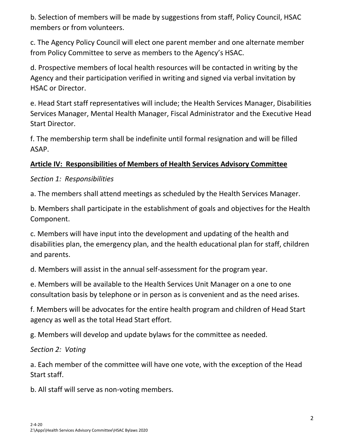b. Selection of members will be made by suggestions from staff, Policy Council, HSAC members or from volunteers.

c. The Agency Policy Council will elect one parent member and one alternate member from Policy Committee to serve as members to the Agency's HSAC.

d. Prospective members of local health resources will be contacted in writing by the Agency and their participation verified in writing and signed via verbal invitation by HSAC or Director.

e. Head Start staff representatives will include; the Health Services Manager, Disabilities Services Manager, Mental Health Manager, Fiscal Administrator and the Executive Head Start Director.

f. The membership term shall be indefinite until formal resignation and will be filled ASAP.

# **Article IV: Responsibilities of Members of Health Services Advisory Committee**

*Section 1: Responsibilities*

a. The members shall attend meetings as scheduled by the Health Services Manager.

b. Members shall participate in the establishment of goals and objectives for the Health Component.

c. Members will have input into the development and updating of the health and disabilities plan, the emergency plan, and the health educational plan for staff, children and parents.

d. Members will assist in the annual self-assessment for the program year.

e. Members will be available to the Health Services Unit Manager on a one to one consultation basis by telephone or in person as is convenient and as the need arises.

f. Members will be advocates for the entire health program and children of Head Start agency as well as the total Head Start effort.

g. Members will develop and update bylaws for the committee as needed.

*Section 2: Voting*

a. Each member of the committee will have one vote, with the exception of the Head Start staff.

b. All staff will serve as non-voting members.